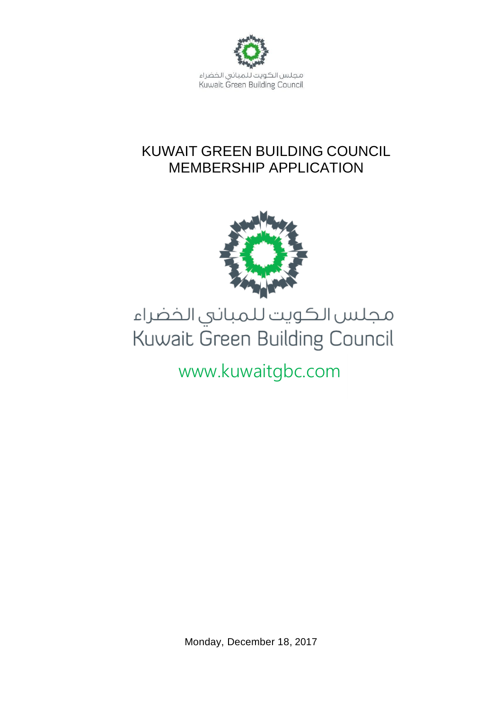

### KUWAIT GREEN BUILDING COUNCIL MEMBERSHIP APPLICATION



# مجلس الكويت للمباني الخضراء Kuwait Green Building Council

## www.kuwaitgbc.com

Monday, December 18, 2017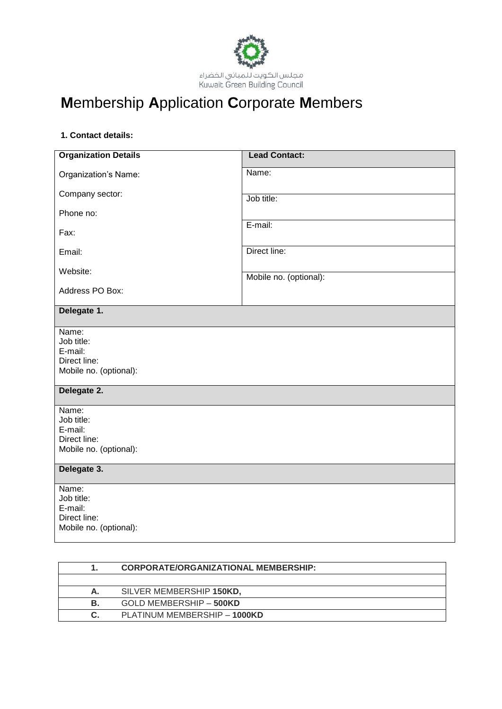

### **M**embership **A**pplication **C**orporate **M**embers

#### **1. Contact details:**

| <b>Organization Details</b>                                              | <b>Lead Contact:</b>   |
|--------------------------------------------------------------------------|------------------------|
| Organization's Name:                                                     | Name:                  |
| Company sector:                                                          | Job title:             |
| Phone no:                                                                |                        |
| Fax:                                                                     | E-mail:                |
| Email:                                                                   | Direct line:           |
| Website:                                                                 | Mobile no. (optional): |
| Address PO Box:                                                          |                        |
| Delegate 1.                                                              |                        |
| Name:<br>Job title:<br>E-mail:<br>Direct line:<br>Mobile no. (optional): |                        |
| Delegate 2.                                                              |                        |
| Name:<br>Job title:<br>E-mail:<br>Direct line:<br>Mobile no. (optional): |                        |
| Delegate 3.                                                              |                        |
| Name:<br>Job title:<br>E-mail:<br>Direct line:<br>Mobile no. (optional): |                        |

|    | <b>CORPORATE/ORGANIZATIONAL MEMBERSHIP:</b> |  |
|----|---------------------------------------------|--|
|    |                                             |  |
| А. | SILVER MEMBERSHIP 150KD,                    |  |
| В. | GOLD MEMBERSHIP - 500KD                     |  |
|    | PLATINUM MEMBERSHIP - 1000KD                |  |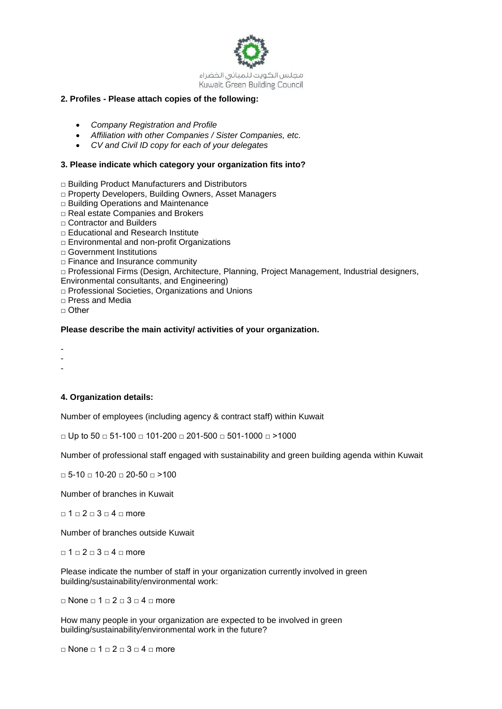

#### **2. Profiles - Please attach copies of the following:**

- *Company Registration and Profile*
- *Affiliation with other Companies / Sister Companies, etc.*
- *CV and Civil ID copy for each of your delegates*

#### **3. Please indicate which category your organization fits into?**

- □ Building Product Manufacturers and Distributors
- □ Property Developers, Building Owners, Asset Managers
- □ Building Operations and Maintenance
- □ Real estate Companies and Brokers
- □ Contractor and Builders
- □ Educational and Research Institute
- □ Environmental and non-profit Organizations
- □ Government Institutions
- □ Finance and Insurance community
- □ Professional Firms (Design, Architecture, Planning, Project Management, Industrial designers,
- Environmental consultants, and Engineering)
- □ Professional Societies, Organizations and Unions
- □ Press and Media
- □ Other

#### **Please describe the main activity/ activities of your organization.**

- -
- -

#### **4. Organization details:**

Number of employees (including agency & contract staff) within Kuwait

□ Up to 50 □ 51-100 □ 101-200 □ 201-500 □ 501-1000 □ >1000

Number of professional staff engaged with sustainability and green building agenda within Kuwait

□ 5-10 □ 10-20 □ 20-50 □ >100

Number of branches in Kuwait

 $\Box$  1  $\Box$  2  $\Box$  3  $\Box$  4  $\Box$  more

Number of branches outside Kuwait

 $\Box$  1  $\Box$  2  $\Box$  3  $\Box$  4  $\Box$  more

Please indicate the number of staff in your organization currently involved in green building/sustainability/environmental work:

 $\Box$  None  $\Box$  1  $\Box$  2  $\Box$  3  $\Box$  4  $\Box$  more

How many people in your organization are expected to be involved in green building/sustainability/environmental work in the future?

□ None □ 1 □ 2 □ 3 □ 4 □ more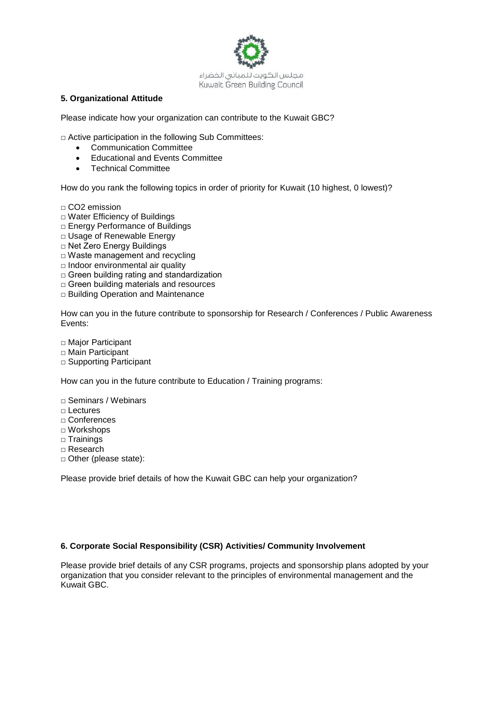

#### **5. Organizational Attitude**

Please indicate how your organization can contribute to the Kuwait GBC?

□ Active participation in the following Sub Committees:

- Communication Committee
- Educational and Events Committee
- Technical Committee

How do you rank the following topics in order of priority for Kuwait (10 highest, 0 lowest)?

□ CO2 emission

- □ Water Efficiency of Buildings
- □ Energy Performance of Buildings
- □ Usage of Renewable Energy
- □ Net Zero Energy Buildings
- □ Waste management and recycling
- □ Indoor environmental air quality
- □ Green building rating and standardization
- □ Green building materials and resources
- □ Building Operation and Maintenance

How can you in the future contribute to sponsorship for Research / Conferences / Public Awareness Events:

- □ Major Participant
- □ Main Participant

□ Supporting Participant

How can you in the future contribute to Education / Training programs:

□ Seminars / Webinars

- □ Lectures
- □ Conferences
- □ Workshops
- □ Trainings
- □ Research
- □ Other (please state):

Please provide brief details of how the Kuwait GBC can help your organization?

#### **6. Corporate Social Responsibility (CSR) Activities/ Community Involvement**

Please provide brief details of any CSR programs, projects and sponsorship plans adopted by your organization that you consider relevant to the principles of environmental management and the Kuwait GBC.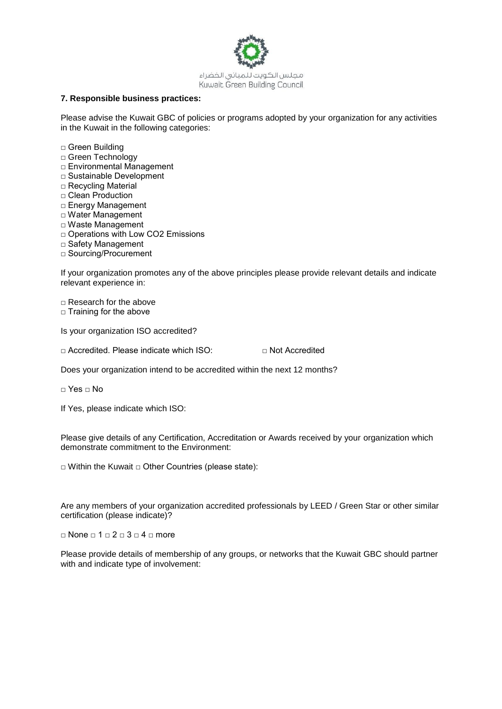

#### **7. Responsible business practices:**

Please advise the Kuwait GBC of policies or programs adopted by your organization for any activities in the Kuwait in the following categories:

- □ Green Building
- □ Green Technology
- □ Environmental Management
- □ Sustainable Development
- □ Recycling Material
- □ Clean Production
- □ Energy Management
- □ Water Management
- □ Waste Management
- □ Operations with Low CO2 Emissions
- □ Safety Management
- □ Sourcing/Procurement

If your organization promotes any of the above principles please provide relevant details and indicate relevant experience in:

 $\Box$  Research for the above

 $\Box$  Training for the above

Is your organization ISO accredited?

□ Accredited. Please indicate which ISO: □ Not Accredited

Does your organization intend to be accredited within the next 12 months?

□ Yes □ No

If Yes, please indicate which ISO:

Please give details of any Certification, Accreditation or Awards received by your organization which demonstrate commitment to the Environment:

□ Within the Kuwait □ Other Countries (please state):

Are any members of your organization accredited professionals by LEED / Green Star or other similar certification (please indicate)?

 $\Box$  None  $\Box$  1  $\Box$  2  $\Box$  3  $\Box$  4  $\Box$  more

Please provide details of membership of any groups, or networks that the Kuwait GBC should partner with and indicate type of involvement: